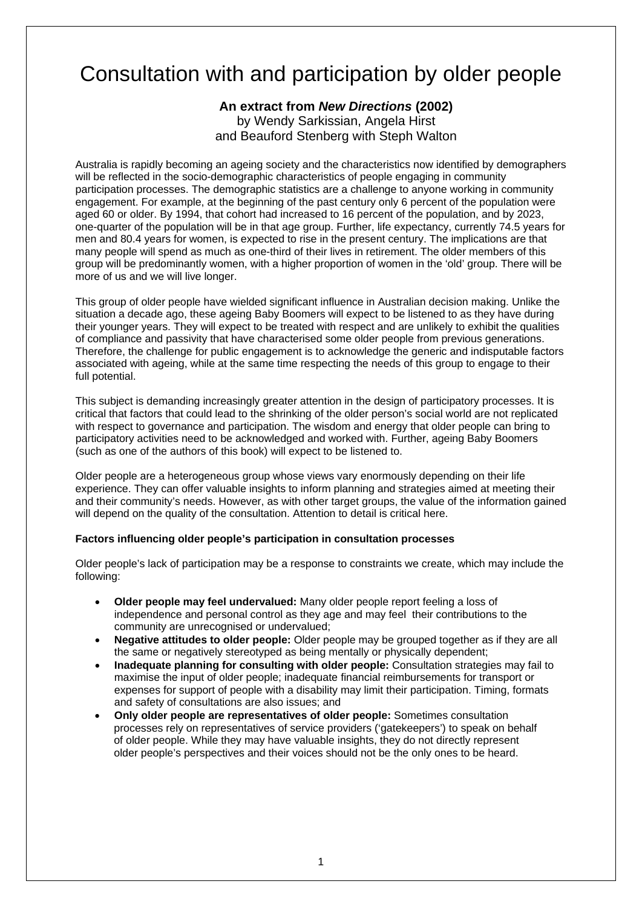# Consultation with and participation by older people

## **An extract from** *New Directions* **(2002)**  by Wendy Sarkissian, Angela Hirst and Beauford Stenberg with Steph Walton

Australia is rapidly becoming an ageing society and the characteristics now identified by demographers will be reflected in the socio-demographic characteristics of people engaging in community participation processes. The demographic statistics are a challenge to anyone working in community engagement. For example, at the beginning of the past century only 6 percent of the population were aged 60 or older. By 1994, that cohort had increased to 16 percent of the population, and by 2023, one-quarter of the population will be in that age group. Further, life expectancy, currently 74.5 years for men and 80.4 years for women, is expected to rise in the present century. The implications are that many people will spend as much as one-third of their lives in retirement. The older members of this group will be predominantly women, with a higher proportion of women in the 'old' group. There will be more of us and we will live longer.

This group of older people have wielded significant influence in Australian decision making. Unlike the situation a decade ago, these ageing Baby Boomers will expect to be listened to as they have during their younger years. They will expect to be treated with respect and are unlikely to exhibit the qualities of compliance and passivity that have characterised some older people from previous generations. Therefore, the challenge for public engagement is to acknowledge the generic and indisputable factors associated with ageing, while at the same time respecting the needs of this group to engage to their full potential.

This subject is demanding increasingly greater attention in the design of participatory processes. It is critical that factors that could lead to the shrinking of the older person's social world are not replicated with respect to governance and participation. The wisdom and energy that older people can bring to participatory activities need to be acknowledged and worked with. Further, ageing Baby Boomers (such as one of the authors of this book) will expect to be listened to.

Older people are a heterogeneous group whose views vary enormously depending on their life experience. They can offer valuable insights to inform planning and strategies aimed at meeting their and their community's needs. However, as with other target groups, the value of the information gained will depend on the quality of the consultation. Attention to detail is critical here.

### **Factors influencing older people's participation in consultation processes**

Older people's lack of participation may be a response to constraints we create, which may include the following:

- **Older people may feel undervalued:** Many older people report feeling a loss of independence and personal control as they age and may feel their contributions to the community are unrecognised or undervalued;
- **Negative attitudes to older people:** Older people may be grouped together as if they are all the same or negatively stereotyped as being mentally or physically dependent;
- **Inadequate planning for consulting with older people:** Consultation strategies may fail to maximise the input of older people; inadequate financial reimbursements for transport or expenses for support of people with a disability may limit their participation. Timing, formats and safety of consultations are also issues; and
- **Only older people are representatives of older people:** Sometimes consultation processes rely on representatives of service providers ('gatekeepers') to speak on behalf of older people. While they may have valuable insights, they do not directly represent older people's perspectives and their voices should not be the only ones to be heard.